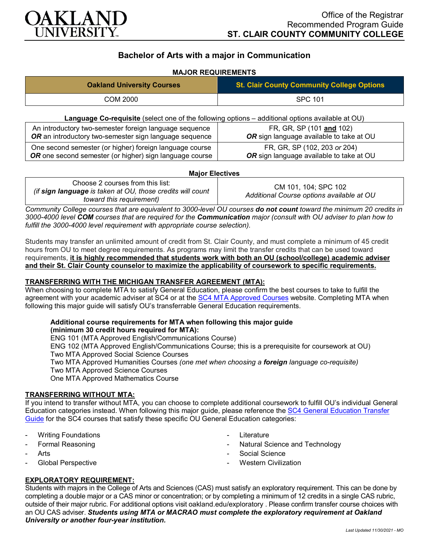

# **Bachelor of Arts with a major in Communication**

## **MAJOR REQUIREMENTS**

| <b>Oakland University Courses</b>                                                                                  | <b>St. Clair County Community College Options</b>                        |
|--------------------------------------------------------------------------------------------------------------------|--------------------------------------------------------------------------|
| COM 2000                                                                                                           | <b>SPC 101</b>                                                           |
| Language Co-requisite (select one of the following options – additional options available at OU)                   |                                                                          |
| An introductory two-semester foreign language sequence<br>OR an introductory two-semester sign language sequence   | FR, GR, SP (101 and 102)<br>OR sign language available to take at OU     |
| One second semester (or higher) foreign language course<br>OR one second semester (or higher) sign language course | FR, GR, SP (102, 203 or 204)<br>OR sign language available to take at OU |

#### **Major Electives**

| Choose 2 courses from this list:<br>(if sign language is taken at OU, those credits will count<br>toward this requirement) | CM 101, 104; SPC 102<br>Additional Course options available at OU |
|----------------------------------------------------------------------------------------------------------------------------|-------------------------------------------------------------------|
|----------------------------------------------------------------------------------------------------------------------------|-------------------------------------------------------------------|

*Community College courses that are equivalent to 3000-level OU courses do not count toward the minimum 20 credits in 3000-4000 level COM courses that are required for the Communication major (consult with OU adviser to plan how to fulfill the 3000-4000 level requirement with appropriate course selection).*

Students may transfer an unlimited amount of credit from St. Clair County, and must complete a minimum of 45 credit hours from OU to meet degree requirements. As programs may limit the transfer credits that can be used toward requirements, **it is highly recommended that students work with both an OU (school/college) academic adviser and their St. Clair County counselor to maximize the applicability of coursework to specific requirements.**

### **TRANSFERRING WITH THE MICHIGAN TRANSFER AGREEMENT (MTA):**

When choosing to complete MTA to satisfy General Education, please confirm the best courses to take to fulfill the agreement with your academic adviser at SC4 or at the [SC4 MTA Approved Courses](https://sc4.edu/admissions/transferring-after-sc4/michigan-transfer-agreement/) website. Completing MTA when following this major guide will satisfy OU's transferrable General Education requirements.

# **Additional course requirements for MTA when following this major guide**

**(minimum 30 credit hours required for MTA):** ENG 101 (MTA Approved English/Communications Course)

ENG 102 (MTA Approved English/Communications Course; this is a prerequisite for coursework at OU)

Two MTA Approved Social Science Courses

Two MTA Approved Humanities Courses *(one met when choosing a foreign language co-requisite)* Two MTA Approved Science Courses

One MTA Approved Mathematics Course

### **TRANSFERRING WITHOUT MTA:**

If you intend to transfer without MTA, you can choose to complete additional coursework to fulfill OU's individual General Education categories instead. When following this major guide, please reference th[e SC4 General Education Transfer](https://wwwp.oakland.edu/Assets/Oakland/program-guides/st-clair-county-community-college/university-general-education-requirements/SC4%20Gen%20Ed.pdf)  [Guide](https://wwwp.oakland.edu/Assets/Oakland/program-guides/st-clair-county-community-college/university-general-education-requirements/SC4%20Gen%20Ed.pdf) for the SC4 courses that satisfy these specific OU General Education categories:

- **Writing Foundations**
- Formal Reasoning
- **Arts**
- Global Perspective
- **Literature**
- Natural Science and Technology
- Social Science
- **Western Civilization**

### **EXPLORATORY REQUIREMENT:**

Students with majors in the College of Arts and Sciences (CAS) must satisfy an exploratory requirement. This can be done by completing a double major or a CAS minor or concentration; or by completing a minimum of 12 credits in a single CAS rubric, outside of their major rubric. For additional options visit [oakland.edu/exploratory](http://www.oakland.edu/exploratory) . Please confirm transfer course choices with an OU CAS adviser. *Students using MTA or MACRAO must complete the exploratory requirement at Oakland University or another four-year institution.*